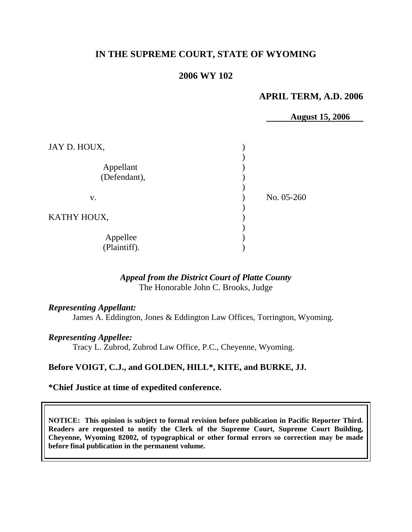# **IN THE SUPREME COURT, STATE OF WYOMING**

## **2006 WY 102**

### **APRIL TERM, A.D. 2006**

**August 15, 2006** 

| JAY D. HOUX,              |            |
|---------------------------|------------|
| Appellant<br>(Defendant), |            |
| V.                        | No. 05-260 |
| KATHY HOUX,               |            |
| Appellee<br>(Plaintiff).  |            |

# *Appeal from the District Court of Platte County* The Honorable John C. Brooks, Judge

*Representing Appellant:*

James A. Eddington, Jones & Eddington Law Offices, Torrington, Wyoming.

#### *Representing Appellee:*

Tracy L. Zubrod, Zubrod Law Office, P.C., Cheyenne, Wyoming.

### **Before VOIGT, C.J., and GOLDEN, HILL\*, KITE, and BURKE, JJ.**

#### **\*Chief Justice at time of expedited conference.**

**NOTICE: This opinion is subject to formal revision before publication in Pacific Reporter Third. Readers are requested to notify the Clerk of the Supreme Court, Supreme Court Building, Cheyenne, Wyoming 82002, of typographical or other formal errors so correction may be made before final publication in the permanent volume.**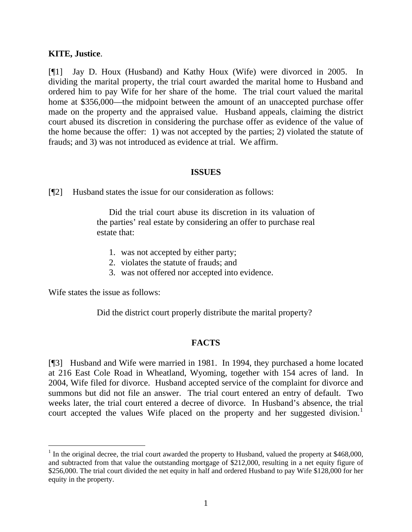### **KITE, Justice**.

[¶1] Jay D. Houx (Husband) and Kathy Houx (Wife) were divorced in 2005. In dividing the marital property, the trial court awarded the marital home to Husband and ordered him to pay Wife for her share of the home. The trial court valued the marital home at \$356,000—the midpoint between the amount of an unaccepted purchase offer made on the property and the appraised value. Husband appeals, claiming the district court abused its discretion in considering the purchase offer as evidence of the value of the home because the offer: 1) was not accepted by the parties; 2) violated the statute of frauds; and 3) was not introduced as evidence at trial. We affirm.

#### **ISSUES**

[¶2] Husband states the issue for our consideration as follows:

Did the trial court abuse its discretion in its valuation of the parties' real estate by considering an offer to purchase real estate that:

- 1. was not accepted by either party;
- 2. violates the statute of frauds; and
- 3. was not offered nor accepted into evidence.

Wife states the issue as follows:

l

Did the district court properly distribute the marital property?

### **FACTS**

[¶3] Husband and Wife were married in 1981. In 1994, they purchased a home located at 216 East Cole Road in Wheatland, Wyoming, together with 154 acres of land. In 2004, Wife filed for divorce. Husband accepted service of the complaint for divorce and summons but did not file an answer. The trial court entered an entry of default. Two weeks later, the trial court entered a decree of divorce. In Husband's absence, the trial court accepted the values Wife placed on the property and her suggested division.<sup>[1](#page-2-0)</sup>

<span id="page-2-0"></span><sup>&</sup>lt;sup>1</sup> In the original decree, the trial court awarded the property to Husband, valued the property at \$468,000, and subtracted from that value the outstanding mortgage of \$212,000, resulting in a net equity figure of \$256,000. The trial court divided the net equity in half and ordered Husband to pay Wife \$128,000 for her equity in the property.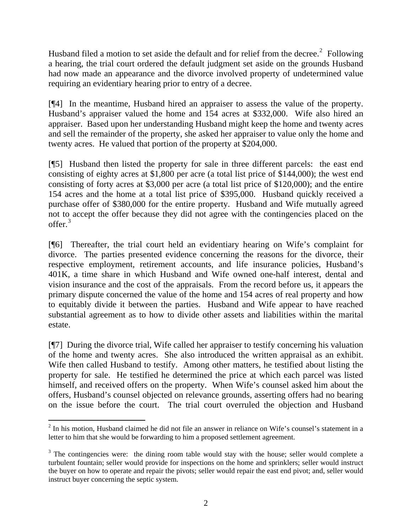Husband filed a motion to set aside the default and for relief from the decree.<sup>[2](#page-3-0)</sup> Following a hearing, the trial court ordered the default judgment set aside on the grounds Husband had now made an appearance and the divorce involved property of undetermined value requiring an evidentiary hearing prior to entry of a decree.

[¶4] In the meantime, Husband hired an appraiser to assess the value of the property. Husband's appraiser valued the home and 154 acres at \$332,000. Wife also hired an appraiser. Based upon her understanding Husband might keep the home and twenty acres and sell the remainder of the property, she asked her appraiser to value only the home and twenty acres. He valued that portion of the property at \$204,000.

[¶5] Husband then listed the property for sale in three different parcels: the east end consisting of eighty acres at \$1,800 per acre (a total list price of \$144,000); the west end consisting of forty acres at \$3,000 per acre (a total list price of \$120,000); and the entire 154 acres and the home at a total list price of \$395,000. Husband quickly received a purchase offer of \$380,000 for the entire property. Husband and Wife mutually agreed not to accept the offer because they did not agree with the contingencies placed on the offer.<sup>[3](#page-3-1)</sup>

[¶6] Thereafter, the trial court held an evidentiary hearing on Wife's complaint for divorce. The parties presented evidence concerning the reasons for the divorce, their respective employment, retirement accounts, and life insurance policies, Husband's 401K, a time share in which Husband and Wife owned one-half interest, dental and vision insurance and the cost of the appraisals. From the record before us, it appears the primary dispute concerned the value of the home and 154 acres of real property and how to equitably divide it between the parties. Husband and Wife appear to have reached substantial agreement as to how to divide other assets and liabilities within the marital estate.

[¶7] During the divorce trial, Wife called her appraiser to testify concerning his valuation of the home and twenty acres. She also introduced the written appraisal as an exhibit. Wife then called Husband to testify. Among other matters, he testified about listing the property for sale. He testified he determined the price at which each parcel was listed himself, and received offers on the property. When Wife's counsel asked him about the offers, Husband's counsel objected on relevance grounds, asserting offers had no bearing on the issue before the court. The trial court overruled the objection and Husband

<span id="page-3-0"></span>  $2$  In his motion, Husband claimed he did not file an answer in reliance on Wife's counsel's statement in a letter to him that she would be forwarding to him a proposed settlement agreement.

<span id="page-3-1"></span> $3$  The contingencies were: the dining room table would stay with the house; seller would complete a turbulent fountain; seller would provide for inspections on the home and sprinklers; seller would instruct the buyer on how to operate and repair the pivots; seller would repair the east end pivot; and, seller would instruct buyer concerning the septic system.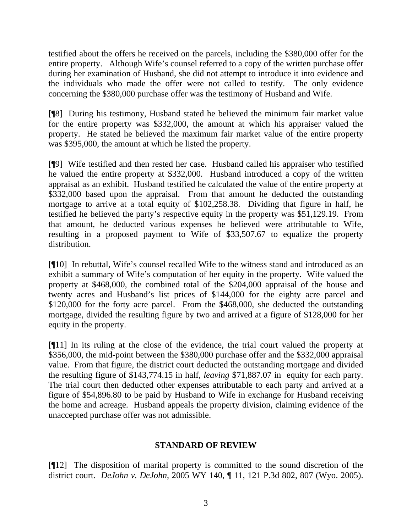testified about the offers he received on the parcels, including the \$380,000 offer for the entire property. Although Wife's counsel referred to a copy of the written purchase offer during her examination of Husband, she did not attempt to introduce it into evidence and the individuals who made the offer were not called to testify. The only evidence concerning the \$380,000 purchase offer was the testimony of Husband and Wife.

[¶8] During his testimony, Husband stated he believed the minimum fair market value for the entire property was \$332,000, the amount at which his appraiser valued the property. He stated he believed the maximum fair market value of the entire property was \$395,000, the amount at which he listed the property.

[¶9] Wife testified and then rested her case. Husband called his appraiser who testified he valued the entire property at \$332,000. Husband introduced a copy of the written appraisal as an exhibit. Husband testified he calculated the value of the entire property at \$332,000 based upon the appraisal. From that amount he deducted the outstanding mortgage to arrive at a total equity of \$102,258.38. Dividing that figure in half, he testified he believed the party's respective equity in the property was \$51,129.19. From that amount, he deducted various expenses he believed were attributable to Wife, resulting in a proposed payment to Wife of \$33,507.67 to equalize the property distribution.

[¶10] In rebuttal, Wife's counsel recalled Wife to the witness stand and introduced as an exhibit a summary of Wife's computation of her equity in the property. Wife valued the property at \$468,000, the combined total of the \$204,000 appraisal of the house and twenty acres and Husband's list prices of \$144,000 for the eighty acre parcel and \$120,000 for the forty acre parcel. From the \$468,000, she deducted the outstanding mortgage, divided the resulting figure by two and arrived at a figure of \$128,000 for her equity in the property.

[¶11] In its ruling at the close of the evidence, the trial court valued the property at \$356,000, the mid-point between the \$380,000 purchase offer and the \$332,000 appraisal value. From that figure, the district court deducted the outstanding mortgage and divided the resulting figure of \$143,774.15 in half, *leaving* \$71,887.07 in equity for each party. The trial court then deducted other expenses attributable to each party and arrived at a figure of \$54,896.80 to be paid by Husband to Wife in exchange for Husband receiving the home and acreage. Husband appeals the property division, claiming evidence of the unaccepted purchase offer was not admissible.

# **STANDARD OF REVIEW**

[¶12] The disposition of marital property is committed to the sound discretion of the district court. *DeJohn v. DeJohn*, 2005 WY 140, ¶ 11, 121 P.3d 802, 807 (Wyo. 2005).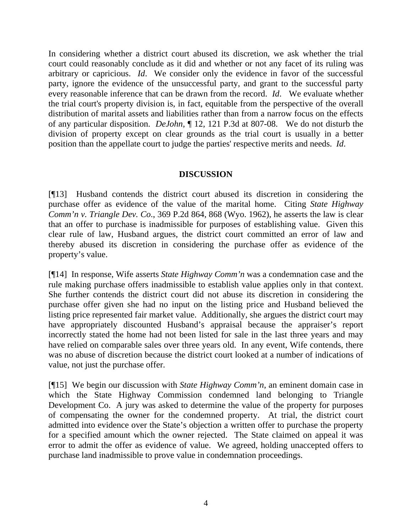In considering whether a district court abused its discretion, we ask whether the trial court could reasonably conclude as it did and whether or not any facet of its ruling was arbitrary or capricious. *Id*. We consider only the evidence in favor of the successful party, ignore the evidence of the unsuccessful party, and grant to the successful party every reasonable inference that can be drawn from the record. *Id*. We evaluate whether the trial court's property division is, in fact, equitable from the perspective of the overall distribution of marital assets and liabilities rather than from a narrow focus on the effects of any particular disposition. *DeJohn*, ¶ 12, 121 P.3d at 807-08. We do not disturb the division of property except on clear grounds as the trial court is usually in a better position than the appellate court to judge the parties' respective merits and needs. *Id*.

### **DISCUSSION**

[¶13] Husband contends the district court abused its discretion in considering the purchase offer as evidence of the value of the marital home. Citing *State Highway Comm'n v. Triangle Dev. Co*., 369 P.2d 864, 868 (Wyo. 1962), he asserts the law is clear that an offer to purchase is inadmissible for purposes of establishing value. Given this clear rule of law, Husband argues, the district court committed an error of law and thereby abused its discretion in considering the purchase offer as evidence of the property's value.

[¶14] In response, Wife asserts *State Highway Comm'n* was a condemnation case and the rule making purchase offers inadmissible to establish value applies only in that context. She further contends the district court did not abuse its discretion in considering the purchase offer given she had no input on the listing price and Husband believed the listing price represented fair market value. Additionally, she argues the district court may have appropriately discounted Husband's appraisal because the appraiser's report incorrectly stated the home had not been listed for sale in the last three years and may have relied on comparable sales over three years old. In any event, Wife contends, there was no abuse of discretion because the district court looked at a number of indications of value, not just the purchase offer.

[¶15] We begin our discussion with *State Highway Comm'n*, an eminent domain case in which the State Highway Commission condemned land belonging to Triangle Development Co. A jury was asked to determine the value of the property for purposes of compensating the owner for the condemned property. At trial, the district court admitted into evidence over the State's objection a written offer to purchase the property for a specified amount which the owner rejected. The State claimed on appeal it was error to admit the offer as evidence of value. We agreed, holding unaccepted offers to purchase land inadmissible to prove value in condemnation proceedings.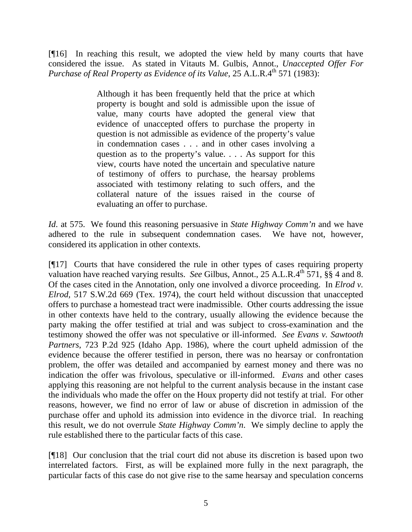[¶16] In reaching this result, we adopted the view held by many courts that have considered the issue. As stated in Vitauts M. Gulbis, Annot., *Unaccepted Offer For Purchase of Real Property as Evidence of its Value, 25 A.L.R.4th 571 (1983):* 

> Although it has been frequently held that the price at which property is bought and sold is admissible upon the issue of value, many courts have adopted the general view that evidence of unaccepted offers to purchase the property in question is not admissible as evidence of the property's value in condemnation cases . . . and in other cases involving a question as to the property's value. . . . As support for this view, courts have noted the uncertain and speculative nature of testimony of offers to purchase, the hearsay problems associated with testimony relating to such offers, and the collateral nature of the issues raised in the course of evaluating an offer to purchase.

*Id*. at 575. We found this reasoning persuasive in *State Highway Comm'n* and we have adhered to the rule in subsequent condemnation cases. We have not, however, considered its application in other contexts.

[¶17] Courts that have considered the rule in other types of cases requiring property valuation have reached varying results. *See* Gilbus, Annot., 25 A.L.R.4<sup>th</sup> 571, §§ 4 and 8. Of the cases cited in the Annotation, only one involved a divorce proceeding. In *Elrod v. Elrod,* 517 S.W.2d 669 (Tex. 1974), the court held without discussion that unaccepted offers to purchase a homestead tract were inadmissible. Other courts addressing the issue in other contexts have held to the contrary, usually allowing the evidence because the party making the offer testified at trial and was subject to cross-examination and the testimony showed the offer was not speculative or ill-informed. *See Evans v. Sawtooth Partners*, 723 P.2d 925 (Idaho App. 1986), where the court upheld admission of the evidence because the offerer testified in person, there was no hearsay or confrontation problem, the offer was detailed and accompanied by earnest money and there was no indication the offer was frivolous, speculative or ill-informed. *Evans* and other cases applying this reasoning are not helpful to the current analysis because in the instant case the individuals who made the offer on the Houx property did not testify at trial. For other reasons, however, we find no error of law or abuse of discretion in admission of the purchase offer and uphold its admission into evidence in the divorce trial. In reaching this result, we do not overrule *State Highway Comm'n*. We simply decline to apply the rule established there to the particular facts of this case.

[¶18] Our conclusion that the trial court did not abuse its discretion is based upon two interrelated factors. First, as will be explained more fully in the next paragraph, the particular facts of this case do not give rise to the same hearsay and speculation concerns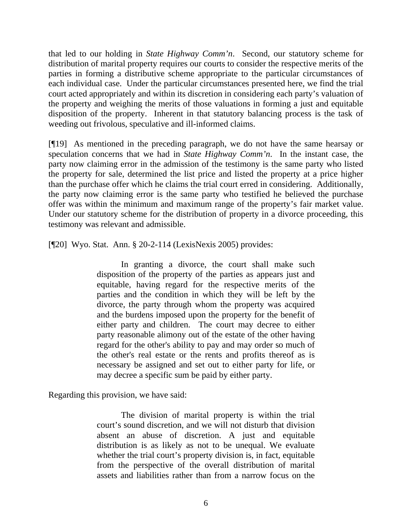that led to our holding in *State Highway Comm'n*. Second, our statutory scheme for distribution of marital property requires our courts to consider the respective merits of the parties in forming a distributive scheme appropriate to the particular circumstances of each individual case. Under the particular circumstances presented here, we find the trial court acted appropriately and within its discretion in considering each party's valuation of the property and weighing the merits of those valuations in forming a just and equitable disposition of the property. Inherent in that statutory balancing process is the task of weeding out frivolous, speculative and ill-informed claims.

[¶19] As mentioned in the preceding paragraph, we do not have the same hearsay or speculation concerns that we had in *State Highway Comm'n*. In the instant case, the party now claiming error in the admission of the testimony is the same party who listed the property for sale, determined the list price and listed the property at a price higher than the purchase offer which he claims the trial court erred in considering. Additionally, the party now claiming error is the same party who testified he believed the purchase offer was within the minimum and maximum range of the property's fair market value. Under our statutory scheme for the distribution of property in a divorce proceeding, this testimony was relevant and admissible.

[¶20] Wyo. Stat. Ann. § 20-2-114 (LexisNexis 2005) provides:

 In granting a divorce, the court shall make such disposition of the property of the parties as appears just and equitable, having regard for the respective merits of the parties and the condition in which they will be left by the divorce, the party through whom the property was acquired and the burdens imposed upon the property for the benefit of either party and children. The court may decree to either party reasonable alimony out of the estate of the other having regard for the other's ability to pay and may order so much of the other's real estate or the rents and profits thereof as is necessary be assigned and set out to either party for life, or may decree a specific sum be paid by either party.

Regarding this provision, we have said:

The division of marital property is within the trial court's sound discretion, and we will not disturb that division absent an abuse of discretion. A just and equitable distribution is as likely as not to be unequal. We evaluate whether the trial court's property division is, in fact, equitable from the perspective of the overall distribution of marital assets and liabilities rather than from a narrow focus on the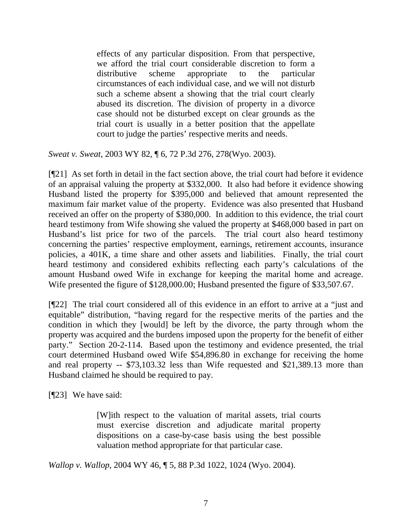effects of any particular disposition. From that perspective, we afford the trial court considerable discretion to form a distributive scheme appropriate to the particular circumstances of each individual case, and we will not disturb such a scheme absent a showing that the trial court clearly abused its discretion. The division of property in a divorce case should not be disturbed except on clear grounds as the trial court is usually in a better position that the appellate court to judge the parties' respective merits and needs.

*Sweat v. Sweat*, 2003 WY 82, ¶ 6, 72 P.3d 276, 278(Wyo. 2003).

[¶21] As set forth in detail in the fact section above, the trial court had before it evidence of an appraisal valuing the property at \$332,000. It also had before it evidence showing Husband listed the property for \$395,000 and believed that amount represented the maximum fair market value of the property. Evidence was also presented that Husband received an offer on the property of \$380,000. In addition to this evidence, the trial court heard testimony from Wife showing she valued the property at \$468,000 based in part on Husband's list price for two of the parcels. The trial court also heard testimony concerning the parties' respective employment, earnings, retirement accounts, insurance policies, a 401K, a time share and other assets and liabilities. Finally, the trial court heard testimony and considered exhibits reflecting each party's calculations of the amount Husband owed Wife in exchange for keeping the marital home and acreage. Wife presented the figure of \$128,000.00; Husband presented the figure of \$33,507.67.

[¶22] The trial court considered all of this evidence in an effort to arrive at a "just and equitable" distribution, "having regard for the respective merits of the parties and the condition in which they [would] be left by the divorce, the party through whom the property was acquired and the burdens imposed upon the property for the benefit of either party." Section 20-2-114. Based upon the testimony and evidence presented, the trial court determined Husband owed Wife \$54,896.80 in exchange for receiving the home and real property -- \$73,103.32 less than Wife requested and \$21,389.13 more than Husband claimed he should be required to pay.

[¶23] We have said:

[W]ith respect to the valuation of marital assets, trial courts must exercise discretion and adjudicate marital property dispositions on a case-by-case basis using the best possible valuation method appropriate for that particular case.

*Wallop v. Wallop*, 2004 WY 46, ¶ 5, 88 P.3d 1022, 1024 (Wyo. 2004).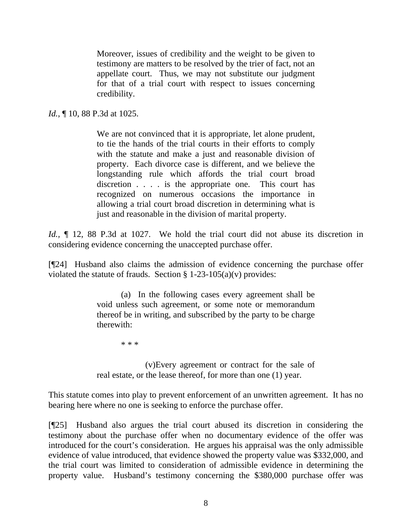Moreover, issues of credibility and the weight to be given to testimony are matters to be resolved by the trier of fact, not an appellate court. Thus, we may not substitute our judgment for that of a trial court with respect to issues concerning credibility.

## *Id.*, **[10, 88 P.3d at 1025.**

We are not convinced that it is appropriate, let alone prudent, to tie the hands of the trial courts in their efforts to comply with the statute and make a just and reasonable division of property. Each divorce case is different, and we believe the longstanding rule which affords the trial court broad discretion . . . . is the appropriate one. This court has recognized on numerous occasions the importance in allowing a trial court broad discretion in determining what is just and reasonable in the division of marital property.

*Id.*,  $\parallel$  12, 88 P.3d at 1027. We hold the trial court did not abuse its discretion in considering evidence concerning the unaccepted purchase offer.

[¶24] Husband also claims the admission of evidence concerning the purchase offer violated the statute of frauds. Section § 1-23-105(a)(v) provides:

> (a) In the following cases every agreement shall be void unless such agreement, or some note or memorandum thereof be in writing, and subscribed by the party to be charge therewith:

\* \* \*

(v)Every agreement or contract for the sale of real estate, or the lease thereof, for more than one (1) year.

This statute comes into play to prevent enforcement of an unwritten agreement. It has no bearing here where no one is seeking to enforce the purchase offer.

[¶25] Husband also argues the trial court abused its discretion in considering the testimony about the purchase offer when no documentary evidence of the offer was introduced for the court's consideration. He argues his appraisal was the only admissible evidence of value introduced, that evidence showed the property value was \$332,000, and the trial court was limited to consideration of admissible evidence in determining the property value. Husband's testimony concerning the \$380,000 purchase offer was